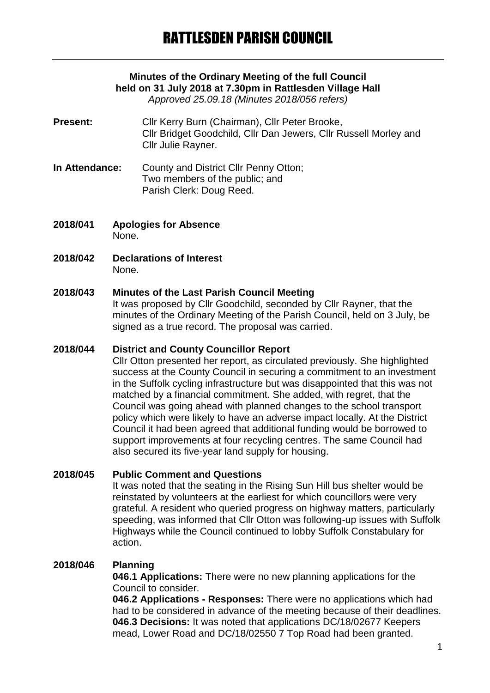# **Minutes of the Ordinary Meeting of the full Council held on 31 July 2018 at 7.30pm in Rattlesden Village Hall**

*Approved 25.09.18 (Minutes 2018/056 refers)*

- **Present:** Cllr Kerry Burn (Chairman), Cllr Peter Brooke, Cllr Bridget Goodchild, Cllr Dan Jewers, Cllr Russell Morley and Cllr Julie Rayner.
- **In Attendance:** County and District Cllr Penny Otton; Two members of the public; and Parish Clerk: Doug Reed.
- **2018/041 Apologies for Absence** None.
- **2018/042 Declarations of Interest** None.

## **2018/043 Minutes of the Last Parish Council Meeting**

It was proposed by Cllr Goodchild, seconded by Cllr Rayner, that the minutes of the Ordinary Meeting of the Parish Council, held on 3 July, be signed as a true record. The proposal was carried.

#### **2018/044 District and County Councillor Report**

Cllr Otton presented her report, as circulated previously. She highlighted success at the County Council in securing a commitment to an investment in the Suffolk cycling infrastructure but was disappointed that this was not matched by a financial commitment. She added, with regret, that the Council was going ahead with planned changes to the school transport policy which were likely to have an adverse impact locally. At the District Council it had been agreed that additional funding would be borrowed to support improvements at four recycling centres. The same Council had also secured its five-year land supply for housing.

## **2018/045 Public Comment and Questions**

It was noted that the seating in the Rising Sun Hill bus shelter would be reinstated by volunteers at the earliest for which councillors were very grateful. A resident who queried progress on highway matters, particularly speeding, was informed that Cllr Otton was following-up issues with Suffolk Highways while the Council continued to lobby Suffolk Constabulary for action.

## **2018/046 Planning**

**046.1 Applications:** There were no new planning applications for the Council to consider.

**046.2 Applications - Responses:** There were no applications which had had to be considered in advance of the meeting because of their deadlines. **046.3 Decisions:** It was noted that applications DC/18/02677 Keepers mead, Lower Road and DC/18/02550 7 Top Road had been granted.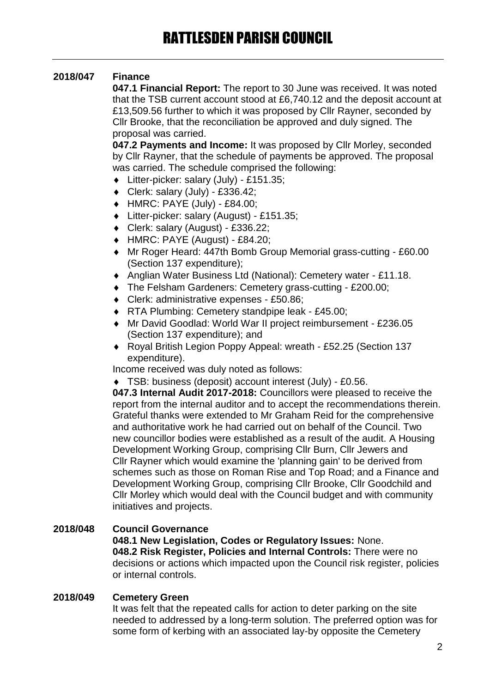## **2018/047 Finance**

**047.1 Financial Report:** The report to 30 June was received. It was noted that the TSB current account stood at £6,740.12 and the deposit account at £13,509.56 further to which it was proposed by Cllr Rayner, seconded by Cllr Brooke, that the reconciliation be approved and duly signed. The proposal was carried.

**047.2 Payments and Income:** It was proposed by Cllr Morley, seconded by Cllr Rayner, that the schedule of payments be approved. The proposal was carried. The schedule comprised the following:

- Litter-picker: salary (July) £151.35;
- $\bullet$  Clerk: salary (July) £336.42;
- HMRC: PAYE (July) £84.00;
- Litter-picker: salary (August) £151.35;
- Clerk: salary (August) £336.22;
- HMRC: PAYE (August) £84.20;
- Mr Roger Heard: 447th Bomb Group Memorial grass-cutting £60.00 (Section 137 expenditure);
- Anglian Water Business Ltd (National): Cemetery water £11.18.
- The Felsham Gardeners: Cemetery grass-cutting £200.00;
- ◆ Clerk: administrative expenses £50.86:
- ◆ RTA Plumbing: Cemetery standpipe leak £45.00;
- Mr David Goodlad: World War II project reimbursement £236.05 (Section 137 expenditure); and
- Royal British Legion Poppy Appeal: wreath £52.25 (Section 137 expenditure).

Income received was duly noted as follows:

TSB: business (deposit) account interest (July) - £0.56.

**047.3 Internal Audit 2017-2018:** Councillors were pleased to receive the report from the internal auditor and to accept the recommendations therein. Grateful thanks were extended to Mr Graham Reid for the comprehensive and authoritative work he had carried out on behalf of the Council. Two new councillor bodies were established as a result of the audit. A Housing Development Working Group, comprising Cllr Burn, Cllr Jewers and Cllr Rayner which would examine the 'planning gain' to be derived from schemes such as those on Roman Rise and Top Road; and a Finance and Development Working Group, comprising Cllr Brooke, Cllr Goodchild and Cllr Morley which would deal with the Council budget and with community initiatives and projects.

**2018/048 Council Governance 048.1 New Legislation, Codes or Regulatory Issues:** None. **048.2 Risk Register, Policies and Internal Controls:** There were no decisions or actions which impacted upon the Council risk register, policies or internal controls.

## **2018/049 Cemetery Green**

It was felt that the repeated calls for action to deter parking on the site needed to addressed by a long-term solution. The preferred option was for some form of kerbing with an associated lay-by opposite the Cemetery